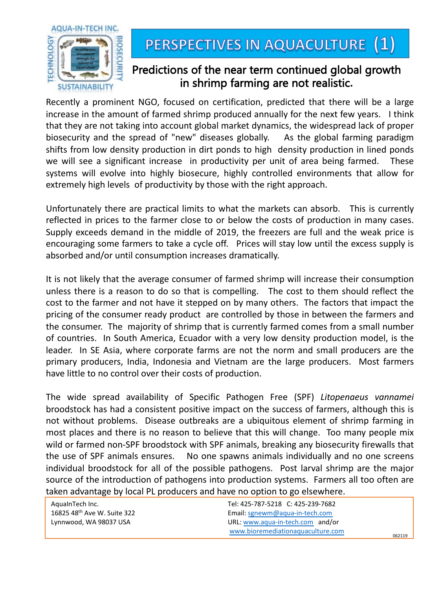

## PERSPECTIVES IN AQUACULTURE (1)

## Predictions of the near term continued global growth in shrimp farming are not realistic**.**

Recently a prominent NGO, focused on certification, predicted that there will be a large increase in the amount of farmed shrimp produced annually for the next few years. I think that they are not taking into account global market dynamics, the widespread lack of proper biosecurity and the spread of "new" diseases globally. As the global farming paradigm shifts from low density production in dirt ponds to high density production in lined ponds we will see a significant increase in productivity per unit of area being farmed. These systems will evolve into highly biosecure, highly controlled environments that allow for extremely high levels of productivity by those with the right approach.

Unfortunately there are practical limits to what the markets can absorb. This is currently reflected in prices to the farmer close to or below the costs of production in many cases. Supply exceeds demand in the middle of 2019, the freezers are full and the weak price is encouraging some farmers to take a cycle off. Prices will stay low until the excess supply is absorbed and/or until consumption increases dramatically.

It is not likely that the average consumer of farmed shrimp will increase their consumption unless there is a reason to do so that is compelling. The cost to them should reflect the cost to the farmer and not have it stepped on by many others. The factors that impact the pricing of the consumer ready product are controlled by those in between the farmers and the consumer. The majority of shrimp that is currently farmed comes from a small number of countries. In South America, Ecuador with a very low density production model, is the leader. In SE Asia, where corporate farms are not the norm and small producers are the primary producers, India, Indonesia and Vietnam are the large producers. Most farmers have little to no control over their costs of production.

The wide spread availability of Specific Pathogen Free (SPF) *Litopenaeus vannamei* broodstock has had a consistent positive impact on the success of farmers, although this is not without problems. Disease outbreaks are a ubiquitous element of shrimp farming in most places and there is no reason to believe that this will change. Too many people mix wild or farmed non-SPF broodstock with SPF animals, breaking any biosecurity firewalls that the use of SPF animals ensures. No one spawns animals individually and no one screens individual broodstock for all of the possible pathogens. Post larval shrimp are the major source of the introduction of pathogens into production systems. Farmers all too often are taken advantage by local PL producers and have no option to go elsewhere.

| AquaInTech Inc.             |
|-----------------------------|
| 16825 48th Ave W. Suite 322 |
| Lynnwood, WA 98037 USA      |

Tel: 425-787-5218 C: 425-239-7682 Email: [sgnewm@aqua-in-tech.com](mailto:sgnewm@aqua-in-tech.com) URL: [www.aqua-in-tech.com](http://www.aqua-in-tech.com/) and/or [www.bioremediationaquaculture.com](http://www.bioremediationaquaculture.com/) 062119